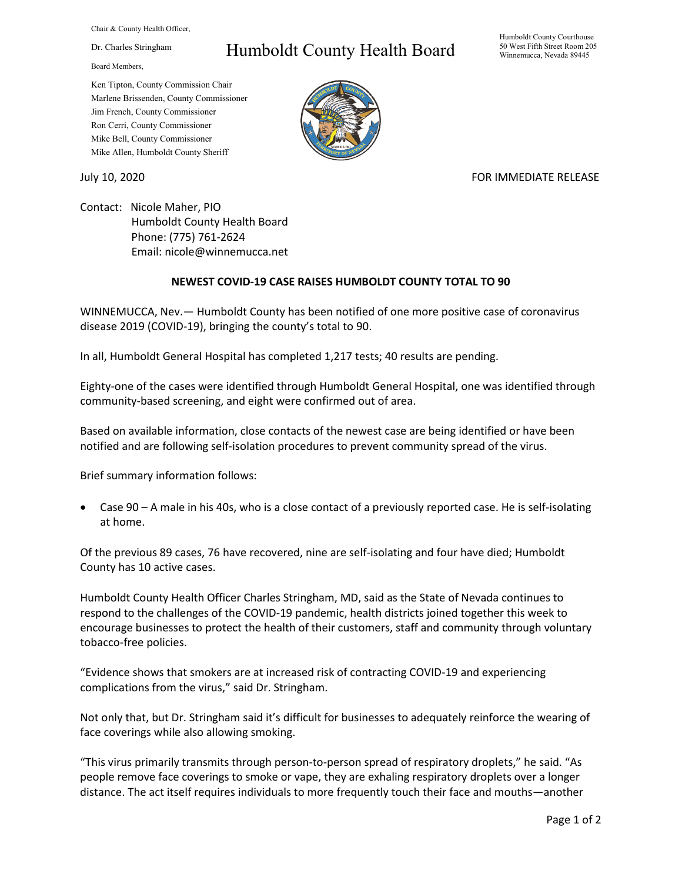Chair & County Health Officer,

Dr. Charles Stringham

Board Members,

## Humboldt County Health Board

Humboldt County Courthouse 50 West Fifth Street Room 205 Winnemucca, Nevada 89445

Ken Tipton, County Commission Chair Marlene Brissenden, County Commissioner Jim French, County Commissioner Ron Cerri, County Commissioner Mike Bell, County Commissioner Mike Allen, Humboldt County Sheriff

## July 10, 2020 FOR IMMEDIATE RELEASE

Contact: Nicole Maher, PIO Humboldt County Health Board Phone: (775) 761-2624 Email: nicole@winnemucca.net

## **NEWEST COVID-19 CASE RAISES HUMBOLDT COUNTY TOTAL TO 90**

WINNEMUCCA, Nev.— Humboldt County has been notified of one more positive case of coronavirus disease 2019 (COVID-19), bringing the county's total to 90.

In all, Humboldt General Hospital has completed 1,217 tests; 40 results are pending.

Eighty-one of the cases were identified through Humboldt General Hospital, one was identified through community-based screening, and eight were confirmed out of area.

Based on available information, close contacts of the newest case are being identified or have been notified and are following self-isolation procedures to prevent community spread of the virus.

Brief summary information follows:

• Case 90 – A male in his 40s, who is a close contact of a previously reported case. He is self-isolating at home.

Of the previous 89 cases, 76 have recovered, nine are self-isolating and four have died; Humboldt County has 10 active cases.

Humboldt County Health Officer Charles Stringham, MD, said as the State of Nevada continues to respond to the challenges of the COVID-19 pandemic, health districts joined together this week to encourage businesses to protect the health of their customers, staff and community through voluntary tobacco-free policies.

"Evidence shows that smokers are at increased risk of contracting COVID-19 and experiencing complications from the virus," said Dr. Stringham.

Not only that, but Dr. Stringham said it's difficult for businesses to adequately reinforce the wearing of face coverings while also allowing smoking.

"This virus primarily transmits through person-to-person spread of respiratory droplets," he said. "As people remove face coverings to smoke or vape, they are exhaling respiratory droplets over a longer distance. The act itself requires individuals to more frequently touch their face and mouths—another